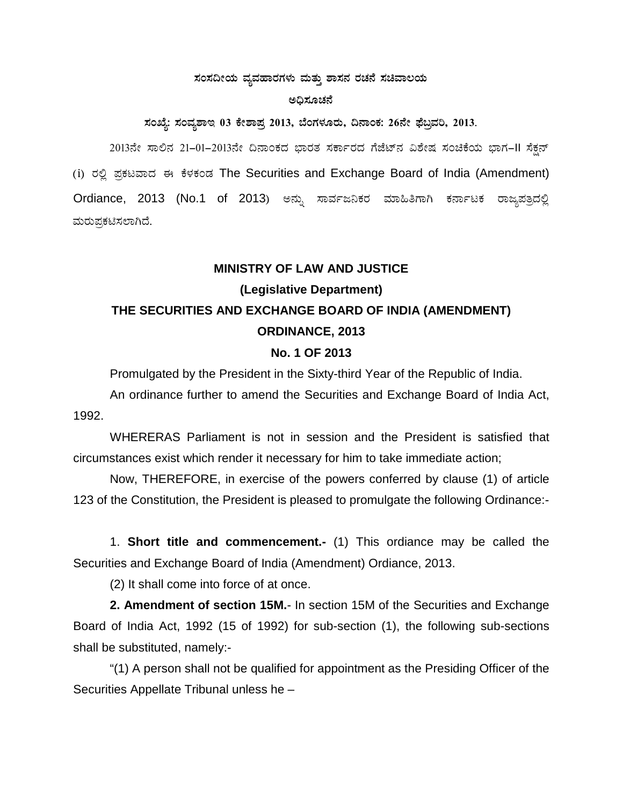#### ಸಂಸದೀಯ ವ್ಯವಹಾರಗಳು ಮತ್ತು ಶಾಸನ ರಚನೆ ಸಚಿವಾಲಯ

#### ಅದಿಸೂಚನೆ

ಸಂಖ್ಯೆ: ಸಂವೃಶಾಇ 03 ಕೇಶಾಪ್ರ 2013, ಬೆಂಗಳೂರು, ದಿನಾಂಕ: 26ನೇ ಫೆಬ್ರವರಿ, 2013.

2013ನೇ ಸಾಲಿನ 21-01-2013ನೇ ದಿನಾಂಕದ ಭಾರತ ಸರ್ಕಾರದ ಗೆಜೆಟ್ನ ವಿಶೇಷ ಸಂಚಿಕೆಯ ಭಾಗ-II ಸೆಕ್ಷನ್ (i) ರಲ್ಲಿ ಪ್ರಕಟವಾದ ಈ ಕೆಳಕಂಡ The Securities and Exchange Board of India (Amendment) Ordiance, 2013 (No.1 of 2013) ಅನ್ನು ಸಾರ್ವಜನಿಕರ ಮಾಹಿತಿಗಾಗಿ ಕರ್ನಾಟಕ ರಾಜ್ಯಪತ್ರದಲ್ಲಿ ಮರುಪ್ರಕಟಿಸಲಾಗಿದೆ.

### **MINISTRY OF LAW AND JUSTICE**

# (Legislative Department) THE SECURITIES AND EXCHANGE BOARD OF INDIA (AMENDMENT) **ORDINANCE, 2013**

# No. 1 OF 2013

Promulgated by the President in the Sixty-third Year of the Republic of India.

An ordinance further to amend the Securities and Exchange Board of India Act, 1992.

WHERERAS Parliament is not in session and the President is satisfied that circumstances exist which render it necessary for him to take immediate action;

Now, THEREFORE, in exercise of the powers conferred by clause (1) of article 123 of the Constitution, the President is pleased to promulgate the following Ordinance:-

1. Short title and commencement.- (1) This ordiance may be called the Securities and Exchange Board of India (Amendment) Ordiance, 2013.

(2) It shall come into force of at once.

2. Amendment of section 15M.- In section 15M of the Securities and Exchange Board of India Act, 1992 (15 of 1992) for sub-section (1), the following sub-sections shall be substituted, namely:-

"(1) A person shall not be qualified for appointment as the Presiding Officer of the Securities Appellate Tribunal unless he -